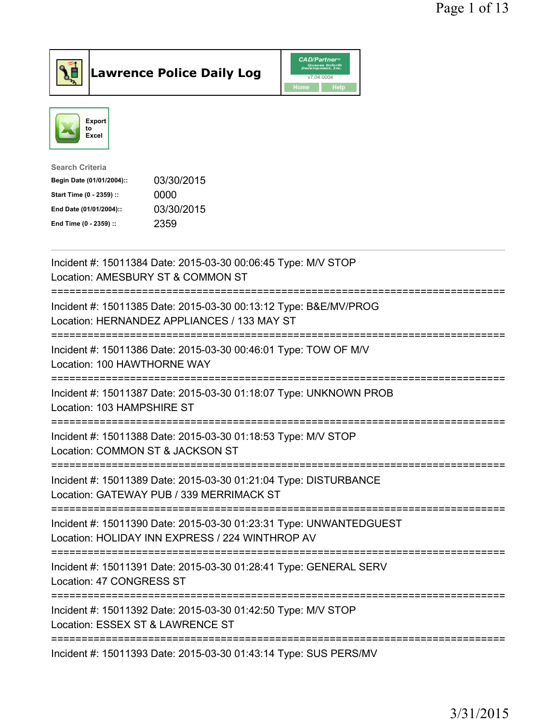

**Lawrence Police Daily Log** 



| <b>Search Criteria</b>    |            |
|---------------------------|------------|
| Begin Date (01/01/2004):: | 03/30/2015 |
| Start Time (0 - 2359) ::  | 0000       |
| End Date (01/01/2004)::   | 03/30/2015 |
| End Time (0 - 2359) ::    | 2359       |
|                           |            |

| Incident #: 15011384 Date: 2015-03-30 00:06:45 Type: M/V STOP<br>Location: AMESBURY ST & COMMON ST                                                 |
|----------------------------------------------------------------------------------------------------------------------------------------------------|
| Incident #: 15011385 Date: 2015-03-30 00:13:12 Type: B&E/MV/PROG<br>Location: HERNANDEZ APPLIANCES / 133 MAY ST                                    |
| Incident #: 15011386 Date: 2015-03-30 00:46:01 Type: TOW OF M/V<br>Location: 100 HAWTHORNE WAY<br>================                                 |
| Incident #: 15011387 Date: 2015-03-30 01:18:07 Type: UNKNOWN PROB<br>Location: 103 HAMPSHIRE ST                                                    |
| Incident #: 15011388 Date: 2015-03-30 01:18:53 Type: M/V STOP<br>Location: COMMON ST & JACKSON ST<br>==============================                |
| Incident #: 15011389 Date: 2015-03-30 01:21:04 Type: DISTURBANCE<br>Location: GATEWAY PUB / 339 MERRIMACK ST<br>;================================= |
| Incident #: 15011390 Date: 2015-03-30 01:23:31 Type: UNWANTEDGUEST<br>Location: HOLIDAY INN EXPRESS / 224 WINTHROP AV                              |
| Incident #: 15011391 Date: 2015-03-30 01:28:41 Type: GENERAL SERV<br>Location: 47 CONGRESS ST                                                      |
| Incident #: 15011392 Date: 2015-03-30 01:42:50 Type: M/V STOP<br>Location: ESSEX ST & LAWRENCE ST<br>---------------------------                   |
| Incident #: 15011393 Date: 2015-03-30 01:43:14 Type: SUS PERS/MV                                                                                   |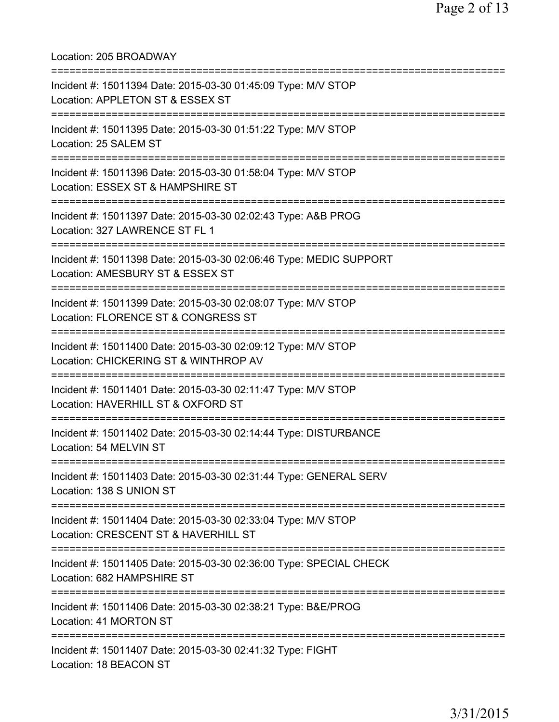Location: 205 BROADWAY =========================================================================== Incident #: 15011394 Date: 2015-03-30 01:45:09 Type: M/V STOP Location: APPLETON ST & ESSEX ST =========================================================================== Incident #: 15011395 Date: 2015-03-30 01:51:22 Type: M/V STOP Location: 25 SALEM ST =========================================================================== Incident #: 15011396 Date: 2015-03-30 01:58:04 Type: M/V STOP Location: ESSEX ST & HAMPSHIRE ST =========================================================================== Incident #: 15011397 Date: 2015-03-30 02:02:43 Type: A&B PROG Location: 327 LAWRENCE ST FL 1 =========================================================================== Incident #: 15011398 Date: 2015-03-30 02:06:46 Type: MEDIC SUPPORT Location: AMESBURY ST & ESSEX ST =========================================================================== Incident #: 15011399 Date: 2015-03-30 02:08:07 Type: M/V STOP Location: FLORENCE ST & CONGRESS ST =========================================================================== Incident #: 15011400 Date: 2015-03-30 02:09:12 Type: M/V STOP Location: CHICKERING ST & WINTHROP AV =========================================================================== Incident #: 15011401 Date: 2015-03-30 02:11:47 Type: M/V STOP Location: HAVERHILL ST & OXFORD ST =========================================================================== Incident #: 15011402 Date: 2015-03-30 02:14:44 Type: DISTURBANCE Location: 54 MELVIN ST =========================================================================== Incident #: 15011403 Date: 2015-03-30 02:31:44 Type: GENERAL SERV Location: 138 S UNION ST =========================================================================== Incident #: 15011404 Date: 2015-03-30 02:33:04 Type: M/V STOP Location: CRESCENT ST & HAVERHILL ST =========================================================================== Incident #: 15011405 Date: 2015-03-30 02:36:00 Type: SPECIAL CHECK Location: 682 HAMPSHIRE ST =========================================================================== Incident #: 15011406 Date: 2015-03-30 02:38:21 Type: B&E/PROG Location: 41 MORTON ST =========================================================================== Incident #: 15011407 Date: 2015-03-30 02:41:32 Type: FIGHT Location: 18 BEACON ST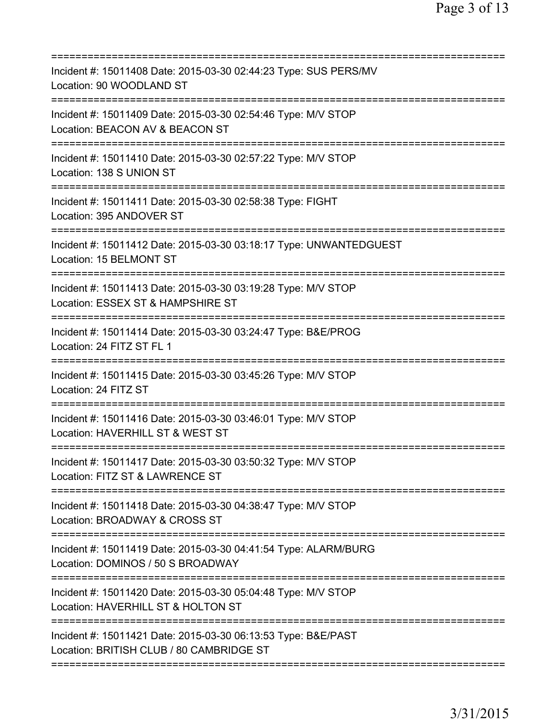| Incident #: 15011408 Date: 2015-03-30 02:44:23 Type: SUS PERS/MV<br>Location: 90 WOODLAND ST                                  |
|-------------------------------------------------------------------------------------------------------------------------------|
| Incident #: 15011409 Date: 2015-03-30 02:54:46 Type: M/V STOP<br>Location: BEACON AV & BEACON ST<br>======================    |
| Incident #: 15011410 Date: 2015-03-30 02:57:22 Type: M/V STOP<br>Location: 138 S UNION ST                                     |
| Incident #: 15011411 Date: 2015-03-30 02:58:38 Type: FIGHT<br>Location: 395 ANDOVER ST                                        |
| Incident #: 15011412 Date: 2015-03-30 03:18:17 Type: UNWANTEDGUEST<br>Location: 15 BELMONT ST                                 |
| Incident #: 15011413 Date: 2015-03-30 03:19:28 Type: M/V STOP<br>Location: ESSEX ST & HAMPSHIRE ST                            |
| Incident #: 15011414 Date: 2015-03-30 03:24:47 Type: B&E/PROG<br>Location: 24 FITZ ST FL 1                                    |
| Incident #: 15011415 Date: 2015-03-30 03:45:26 Type: M/V STOP<br>Location: 24 FITZ ST                                         |
| Incident #: 15011416 Date: 2015-03-30 03:46:01 Type: M/V STOP<br>Location: HAVERHILL ST & WEST ST                             |
| Incident #: 15011417 Date: 2015-03-30 03:50:32 Type: M/V STOP<br>Location: FITZ ST & LAWRENCE ST                              |
| ===========================<br>Incident #: 15011418 Date: 2015-03-30 04:38:47 Type: M/V STOP<br>Location: BROADWAY & CROSS ST |
| Incident #: 15011419 Date: 2015-03-30 04:41:54 Type: ALARM/BURG<br>Location: DOMINOS / 50 S BROADWAY                          |
| Incident #: 15011420 Date: 2015-03-30 05:04:48 Type: M/V STOP<br>Location: HAVERHILL ST & HOLTON ST                           |
| Incident #: 15011421 Date: 2015-03-30 06:13:53 Type: B&E/PAST<br>Location: BRITISH CLUB / 80 CAMBRIDGE ST                     |
|                                                                                                                               |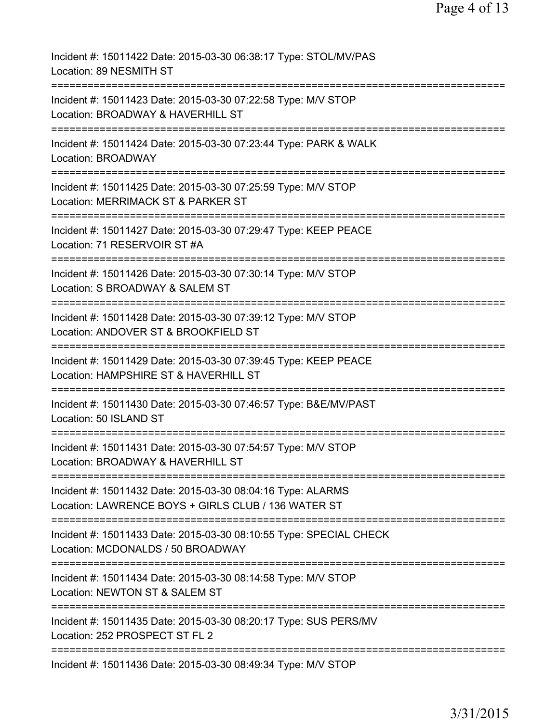| Incident #: 15011422 Date: 2015-03-30 06:38:17 Type: STOL/MV/PAS<br>Location: 89 NESMITH ST                                                           |
|-------------------------------------------------------------------------------------------------------------------------------------------------------|
| Incident #: 15011423 Date: 2015-03-30 07:22:58 Type: M/V STOP<br>Location: BROADWAY & HAVERHILL ST                                                    |
| Incident #: 15011424 Date: 2015-03-30 07:23:44 Type: PARK & WALK<br><b>Location: BROADWAY</b>                                                         |
| Incident #: 15011425 Date: 2015-03-30 07:25:59 Type: M/V STOP<br>Location: MERRIMACK ST & PARKER ST                                                   |
| Incident #: 15011427 Date: 2015-03-30 07:29:47 Type: KEEP PEACE<br>Location: 71 RESERVOIR ST #A                                                       |
| Incident #: 15011426 Date: 2015-03-30 07:30:14 Type: M/V STOP<br>Location: S BROADWAY & SALEM ST                                                      |
| Incident #: 15011428 Date: 2015-03-30 07:39:12 Type: M/V STOP<br>Location: ANDOVER ST & BROOKFIELD ST                                                 |
| Incident #: 15011429 Date: 2015-03-30 07:39:45 Type: KEEP PEACE<br>Location: HAMPSHIRE ST & HAVERHILL ST                                              |
| Incident #: 15011430 Date: 2015-03-30 07:46:57 Type: B&E/MV/PAST<br>Location: 50 ISLAND ST                                                            |
| Incident #: 15011431 Date: 2015-03-30 07:54:57 Type: M/V STOP<br>Location: BROADWAY & HAVERHILL ST                                                    |
| ===============================<br>Incident #: 15011432 Date: 2015-03-30 08:04:16 Type: ALARMS<br>Location: LAWRENCE BOYS + GIRLS CLUB / 136 WATER ST |
| ==============================<br>Incident #: 15011433 Date: 2015-03-30 08:10:55 Type: SPECIAL CHECK<br>Location: MCDONALDS / 50 BROADWAY             |
| ===============================<br>Incident #: 15011434 Date: 2015-03-30 08:14:58 Type: M/V STOP<br>Location: NEWTON ST & SALEM ST                    |
| Incident #: 15011435 Date: 2015-03-30 08:20:17 Type: SUS PERS/MV<br>Location: 252 PROSPECT ST FL 2                                                    |
| Incident #: 15011436 Date: 2015-03-30 08:49:34 Type: M/V STOP                                                                                         |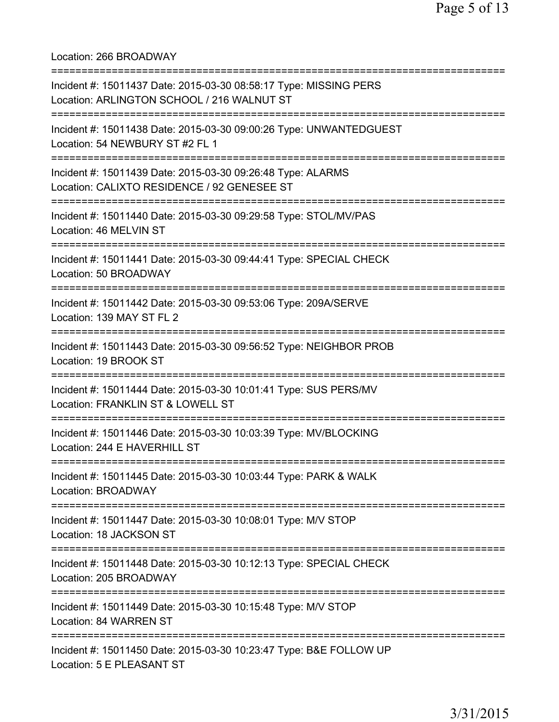Location: 266 BROADWAY =========================================================================== Incident #: 15011437 Date: 2015-03-30 08:58:17 Type: MISSING PERS Location: ARLINGTON SCHOOL / 216 WALNUT ST =========================================================================== Incident #: 15011438 Date: 2015-03-30 09:00:26 Type: UNWANTEDGUEST Location: 54 NEWBURY ST #2 FL 1 =========================================================================== Incident #: 15011439 Date: 2015-03-30 09:26:48 Type: ALARMS Location: CALIXTO RESIDENCE / 92 GENESEE ST =========================================================================== Incident #: 15011440 Date: 2015-03-30 09:29:58 Type: STOL/MV/PAS Location: 46 MELVIN ST =========================================================================== Incident #: 15011441 Date: 2015-03-30 09:44:41 Type: SPECIAL CHECK Location: 50 BROADWAY =========================================================================== Incident #: 15011442 Date: 2015-03-30 09:53:06 Type: 209A/SERVE Location: 139 MAY ST FL 2 =========================================================================== Incident #: 15011443 Date: 2015-03-30 09:56:52 Type: NEIGHBOR PROB Location: 19 BROOK ST =========================================================================== Incident #: 15011444 Date: 2015-03-30 10:01:41 Type: SUS PERS/MV Location: FRANKLIN ST & LOWELL ST =========================================================================== Incident #: 15011446 Date: 2015-03-30 10:03:39 Type: MV/BLOCKING Location: 244 E HAVERHILL ST =========================================================================== Incident #: 15011445 Date: 2015-03-30 10:03:44 Type: PARK & WALK Location: BROADWAY =========================================================================== Incident #: 15011447 Date: 2015-03-30 10:08:01 Type: M/V STOP Location: 18 JACKSON ST =========================================================================== Incident #: 15011448 Date: 2015-03-30 10:12:13 Type: SPECIAL CHECK Location: 205 BROADWAY =========================================================================== Incident #: 15011449 Date: 2015-03-30 10:15:48 Type: M/V STOP Location: 84 WARREN ST =========================================================================== Incident #: 15011450 Date: 2015-03-30 10:23:47 Type: B&E FOLLOW UP Location: 5 E PLEASANT ST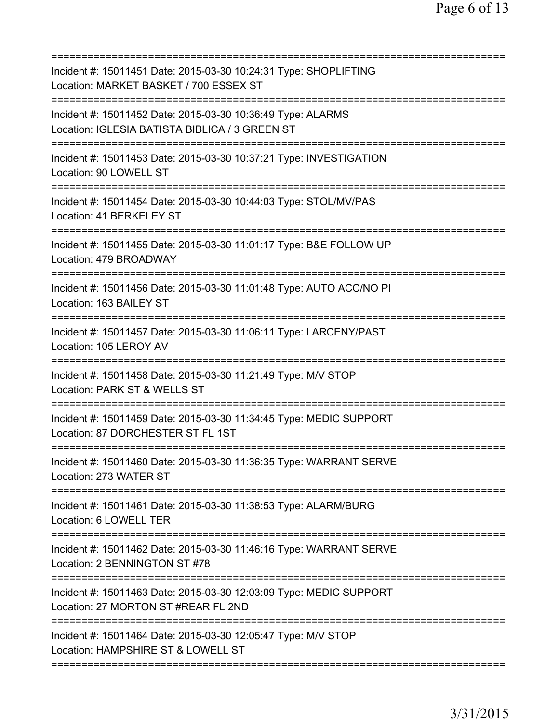| Incident #: 15011451 Date: 2015-03-30 10:24:31 Type: SHOPLIFTING<br>Location: MARKET BASKET / 700 ESSEX ST<br>================================= |
|-------------------------------------------------------------------------------------------------------------------------------------------------|
| Incident #: 15011452 Date: 2015-03-30 10:36:49 Type: ALARMS<br>Location: IGLESIA BATISTA BIBLICA / 3 GREEN ST                                   |
| Incident #: 15011453 Date: 2015-03-30 10:37:21 Type: INVESTIGATION<br>Location: 90 LOWELL ST                                                    |
| Incident #: 15011454 Date: 2015-03-30 10:44:03 Type: STOL/MV/PAS<br>Location: 41 BERKELEY ST                                                    |
| Incident #: 15011455 Date: 2015-03-30 11:01:17 Type: B&E FOLLOW UP<br>Location: 479 BROADWAY                                                    |
| Incident #: 15011456 Date: 2015-03-30 11:01:48 Type: AUTO ACC/NO PI<br>Location: 163 BAILEY ST                                                  |
| Incident #: 15011457 Date: 2015-03-30 11:06:11 Type: LARCENY/PAST<br>Location: 105 LEROY AV<br>===============================                  |
| Incident #: 15011458 Date: 2015-03-30 11:21:49 Type: M/V STOP<br>Location: PARK ST & WELLS ST                                                   |
| Incident #: 15011459 Date: 2015-03-30 11:34:45 Type: MEDIC SUPPORT<br>Location: 87 DORCHESTER ST FL 1ST                                         |
| Incident #: 15011460 Date: 2015-03-30 11:36:35 Type: WARRANT SERVE<br>Location: 273 WATER ST                                                    |
| Incident #: 15011461 Date: 2015-03-30 11:38:53 Type: ALARM/BURG<br>Location: 6 LOWELL TER                                                       |
| Incident #: 15011462 Date: 2015-03-30 11:46:16 Type: WARRANT SERVE<br>Location: 2 BENNINGTON ST #78                                             |
| Incident #: 15011463 Date: 2015-03-30 12:03:09 Type: MEDIC SUPPORT<br>Location: 27 MORTON ST #REAR FL 2ND                                       |
| Incident #: 15011464 Date: 2015-03-30 12:05:47 Type: M/V STOP<br>Location: HAMPSHIRE ST & LOWELL ST                                             |
|                                                                                                                                                 |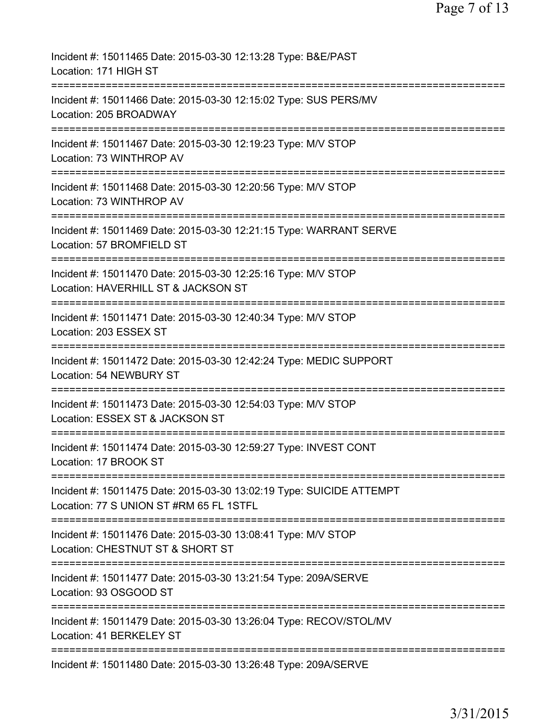| Incident #: 15011465 Date: 2015-03-30 12:13:28 Type: B&E/PAST<br>Location: 171 HIGH ST                                         |
|--------------------------------------------------------------------------------------------------------------------------------|
| Incident #: 15011466 Date: 2015-03-30 12:15:02 Type: SUS PERS/MV<br>Location: 205 BROADWAY                                     |
| Incident #: 15011467 Date: 2015-03-30 12:19:23 Type: M/V STOP<br>Location: 73 WINTHROP AV                                      |
| Incident #: 15011468 Date: 2015-03-30 12:20:56 Type: M/V STOP<br>Location: 73 WINTHROP AV                                      |
| Incident #: 15011469 Date: 2015-03-30 12:21:15 Type: WARRANT SERVE<br>Location: 57 BROMFIELD ST                                |
| Incident #: 15011470 Date: 2015-03-30 12:25:16 Type: M/V STOP<br>Location: HAVERHILL ST & JACKSON ST                           |
| Incident #: 15011471 Date: 2015-03-30 12:40:34 Type: M/V STOP<br>Location: 203 ESSEX ST                                        |
| Incident #: 15011472 Date: 2015-03-30 12:42:24 Type: MEDIC SUPPORT<br><b>Location: 54 NEWBURY ST</b>                           |
| Incident #: 15011473 Date: 2015-03-30 12:54:03 Type: M/V STOP<br>Location: ESSEX ST & JACKSON ST                               |
| Incident #: 15011474 Date: 2015-03-30 12:59:27 Type: INVEST CONT<br>Location: 17 BROOK ST                                      |
| Incident #: 15011475 Date: 2015-03-30 13:02:19 Type: SUICIDE ATTEMPT<br>Location: 77 S UNION ST #RM 65 FL 1STFL                |
| Incident #: 15011476 Date: 2015-03-30 13:08:41 Type: M/V STOP<br>Location: CHESTNUT ST & SHORT ST                              |
| Incident #: 15011477 Date: 2015-03-30 13:21:54 Type: 209A/SERVE<br>Location: 93 OSGOOD ST                                      |
| ============================<br>Incident #: 15011479 Date: 2015-03-30 13:26:04 Type: RECOV/STOL/MV<br>Location: 41 BERKELEY ST |
| Incident #: 15011480 Date: 2015-03-30 13:26:48 Type: 209A/SERVE                                                                |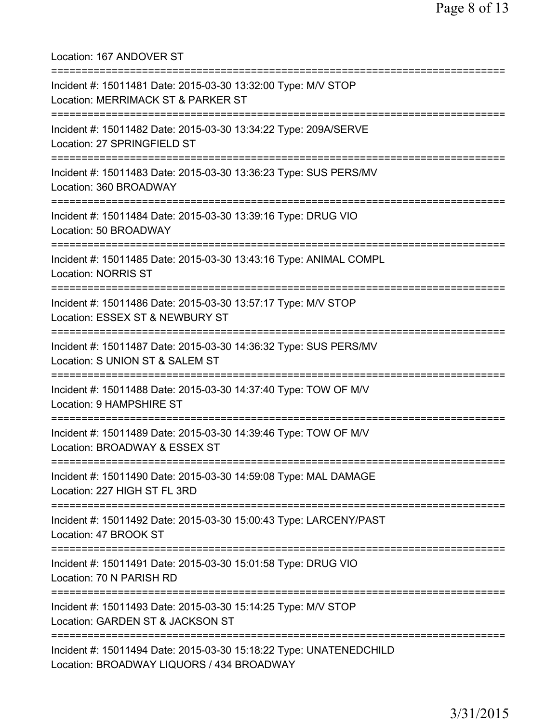Location: 167 ANDOVER ST =========================================================================== Incident #: 15011481 Date: 2015-03-30 13:32:00 Type: M/V STOP Location: MERRIMACK ST & PARKER ST =========================================================================== Incident #: 15011482 Date: 2015-03-30 13:34:22 Type: 209A/SERVE Location: 27 SPRINGFIELD ST =========================================================================== Incident #: 15011483 Date: 2015-03-30 13:36:23 Type: SUS PERS/MV Location: 360 BROADWAY =========================================================================== Incident #: 15011484 Date: 2015-03-30 13:39:16 Type: DRUG VIO Location: 50 BROADWAY =========================================================================== Incident #: 15011485 Date: 2015-03-30 13:43:16 Type: ANIMAL COMPL Location: NORRIS ST =========================================================================== Incident #: 15011486 Date: 2015-03-30 13:57:17 Type: M/V STOP Location: ESSEX ST & NEWBURY ST =========================================================================== Incident #: 15011487 Date: 2015-03-30 14:36:32 Type: SUS PERS/MV Location: S UNION ST & SALEM ST =========================================================================== Incident #: 15011488 Date: 2015-03-30 14:37:40 Type: TOW OF M/V Location: 9 HAMPSHIRE ST =========================================================================== Incident #: 15011489 Date: 2015-03-30 14:39:46 Type: TOW OF M/V Location: BROADWAY & ESSEX ST =========================================================================== Incident #: 15011490 Date: 2015-03-30 14:59:08 Type: MAL DAMAGE Location: 227 HIGH ST FL 3RD =========================================================================== Incident #: 15011492 Date: 2015-03-30 15:00:43 Type: LARCENY/PAST Location: 47 BROOK ST =========================================================================== Incident #: 15011491 Date: 2015-03-30 15:01:58 Type: DRUG VIO Location: 70 N PARISH RD =========================================================================== Incident #: 15011493 Date: 2015-03-30 15:14:25 Type: M/V STOP Location: GARDEN ST & JACKSON ST =========================================================================== Incident #: 15011494 Date: 2015-03-30 15:18:22 Type: UNATENEDCHILD Location: BROADWAY LIQUORS / 434 BROADWAY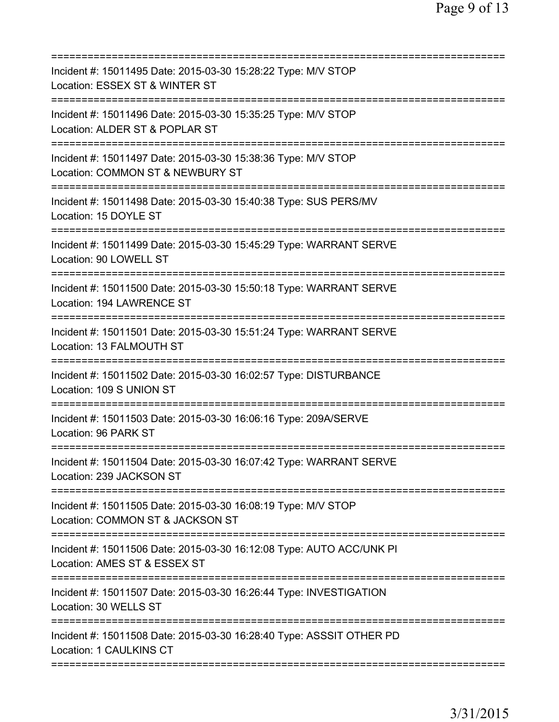| Incident #: 15011495 Date: 2015-03-30 15:28:22 Type: M/V STOP<br>Location: ESSEX ST & WINTER ST      |
|------------------------------------------------------------------------------------------------------|
| Incident #: 15011496 Date: 2015-03-30 15:35:25 Type: M/V STOP<br>Location: ALDER ST & POPLAR ST      |
| Incident #: 15011497 Date: 2015-03-30 15:38:36 Type: M/V STOP<br>Location: COMMON ST & NEWBURY ST    |
| Incident #: 15011498 Date: 2015-03-30 15:40:38 Type: SUS PERS/MV<br>Location: 15 DOYLE ST            |
| Incident #: 15011499 Date: 2015-03-30 15:45:29 Type: WARRANT SERVE<br>Location: 90 LOWELL ST         |
| Incident #: 15011500 Date: 2015-03-30 15:50:18 Type: WARRANT SERVE<br>Location: 194 LAWRENCE ST      |
| Incident #: 15011501 Date: 2015-03-30 15:51:24 Type: WARRANT SERVE<br>Location: 13 FALMOUTH ST       |
| Incident #: 15011502 Date: 2015-03-30 16:02:57 Type: DISTURBANCE<br>Location: 109 S UNION ST         |
| Incident #: 15011503 Date: 2015-03-30 16:06:16 Type: 209A/SERVE<br>Location: 96 PARK ST              |
| Incident #: 15011504 Date: 2015-03-30 16:07:42 Type: WARRANT SERVE<br>Location: 239 JACKSON ST       |
| Incident #: 15011505 Date: 2015-03-30 16:08:19 Type: M/V STOP<br>Location: COMMON ST & JACKSON ST    |
| Incident #: 15011506 Date: 2015-03-30 16:12:08 Type: AUTO ACC/UNK PI<br>Location: AMES ST & ESSEX ST |
| Incident #: 15011507 Date: 2015-03-30 16:26:44 Type: INVESTIGATION<br>Location: 30 WELLS ST          |
| Incident #: 15011508 Date: 2015-03-30 16:28:40 Type: ASSSIT OTHER PD<br>Location: 1 CAULKINS CT      |
|                                                                                                      |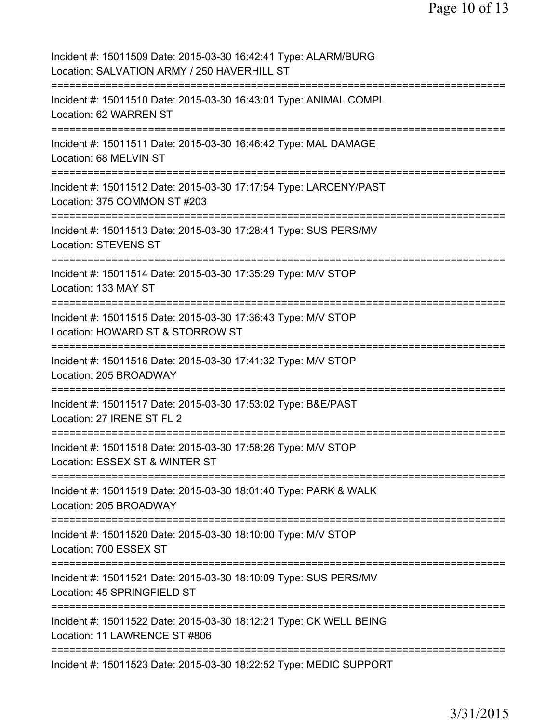| Incident #: 15011509 Date: 2015-03-30 16:42:41 Type: ALARM/BURG<br>Location: SALVATION ARMY / 250 HAVERHILL ST                      |
|-------------------------------------------------------------------------------------------------------------------------------------|
| Incident #: 15011510 Date: 2015-03-30 16:43:01 Type: ANIMAL COMPL<br>Location: 62 WARREN ST                                         |
| Incident #: 15011511 Date: 2015-03-30 16:46:42 Type: MAL DAMAGE<br>Location: 68 MELVIN ST                                           |
| Incident #: 15011512 Date: 2015-03-30 17:17:54 Type: LARCENY/PAST<br>Location: 375 COMMON ST #203                                   |
| Incident #: 15011513 Date: 2015-03-30 17:28:41 Type: SUS PERS/MV<br><b>Location: STEVENS ST</b><br>================================ |
| Incident #: 15011514 Date: 2015-03-30 17:35:29 Type: M/V STOP<br>Location: 133 MAY ST<br>=====================                      |
| Incident #: 15011515 Date: 2015-03-30 17:36:43 Type: M/V STOP<br>Location: HOWARD ST & STORROW ST<br>============                   |
| Incident #: 15011516 Date: 2015-03-30 17:41:32 Type: M/V STOP<br>Location: 205 BROADWAY<br>:================                        |
| Incident #: 15011517 Date: 2015-03-30 17:53:02 Type: B&E/PAST<br>Location: 27 IRENE ST FL 2                                         |
| ==============<br>Incident #: 15011518 Date: 2015-03-30 17:58:26 Type: M/V STOP<br>Location: ESSEX ST & WINTER ST                   |
| Incident #: 15011519 Date: 2015-03-30 18:01:40 Type: PARK & WALK<br>Location: 205 BROADWAY                                          |
| Incident #: 15011520 Date: 2015-03-30 18:10:00 Type: M/V STOP<br>Location: 700 ESSEX ST                                             |
| Incident #: 15011521 Date: 2015-03-30 18:10:09 Type: SUS PERS/MV<br>Location: 45 SPRINGFIELD ST                                     |
| Incident #: 15011522 Date: 2015-03-30 18:12:21 Type: CK WELL BEING<br>Location: 11 LAWRENCE ST #806                                 |
| Incident #: 15011523 Date: 2015-03-30 18:22:52 Type: MEDIC SUPPORT                                                                  |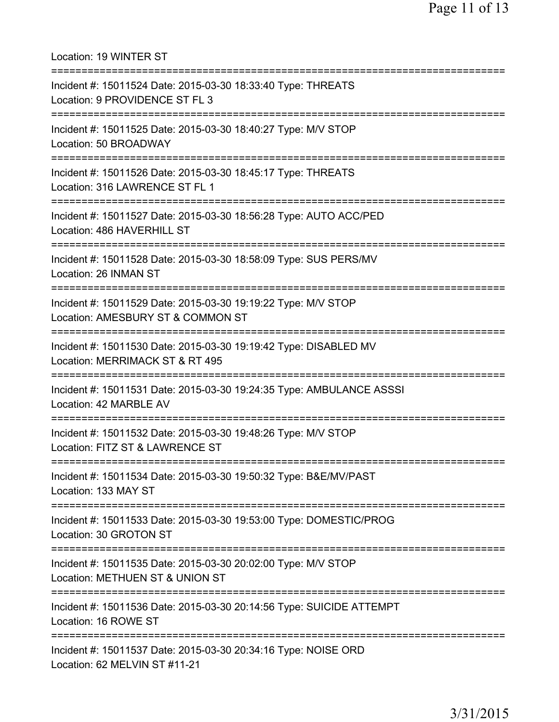Location: 19 WINTER ST =========================================================================== Incident #: 15011524 Date: 2015-03-30 18:33:40 Type: THREATS Location: 9 PROVIDENCE ST FL 3 =========================================================================== Incident #: 15011525 Date: 2015-03-30 18:40:27 Type: M/V STOP Location: 50 BROADWAY =========================================================================== Incident #: 15011526 Date: 2015-03-30 18:45:17 Type: THREATS Location: 316 LAWRENCE ST FL 1 =========================================================================== Incident #: 15011527 Date: 2015-03-30 18:56:28 Type: AUTO ACC/PED Location: 486 HAVERHILL ST =========================================================================== Incident #: 15011528 Date: 2015-03-30 18:58:09 Type: SUS PERS/MV Location: 26 INMAN ST =========================================================================== Incident #: 15011529 Date: 2015-03-30 19:19:22 Type: M/V STOP Location: AMESBURY ST & COMMON ST =========================================================================== Incident #: 15011530 Date: 2015-03-30 19:19:42 Type: DISABLED MV Location: MERRIMACK ST & RT 495 =========================================================================== Incident #: 15011531 Date: 2015-03-30 19:24:35 Type: AMBULANCE ASSSI Location: 42 MARBLE AV =========================================================================== Incident #: 15011532 Date: 2015-03-30 19:48:26 Type: M/V STOP Location: FITZ ST & LAWRENCE ST =========================================================================== Incident #: 15011534 Date: 2015-03-30 19:50:32 Type: B&E/MV/PAST Location: 133 MAY ST =========================================================================== Incident #: 15011533 Date: 2015-03-30 19:53:00 Type: DOMESTIC/PROG Location: 30 GROTON ST =========================================================================== Incident #: 15011535 Date: 2015-03-30 20:02:00 Type: M/V STOP Location: METHUEN ST & UNION ST =========================================================================== Incident #: 15011536 Date: 2015-03-30 20:14:56 Type: SUICIDE ATTEMPT Location: 16 ROWE ST =========================================================================== Incident #: 15011537 Date: 2015-03-30 20:34:16 Type: NOISE ORD Location: 62 MELVIN ST #11-21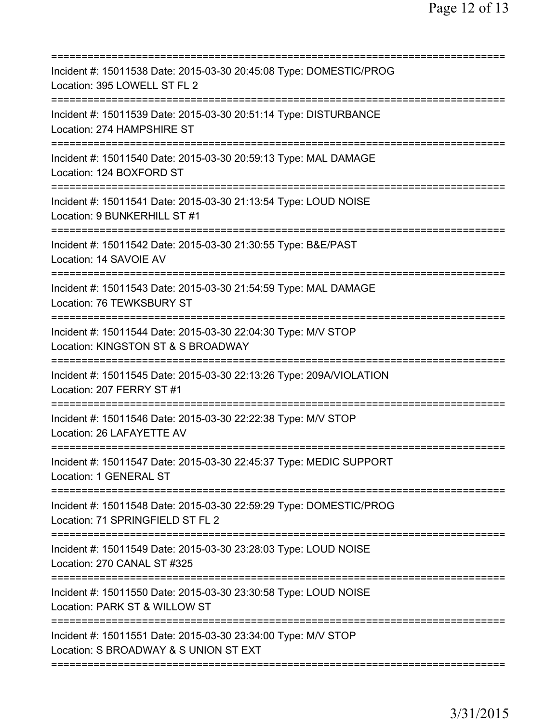| Incident #: 15011538 Date: 2015-03-30 20:45:08 Type: DOMESTIC/PROG<br>Location: 395 LOWELL ST FL 2                                     |
|----------------------------------------------------------------------------------------------------------------------------------------|
| Incident #: 15011539 Date: 2015-03-30 20:51:14 Type: DISTURBANCE<br>Location: 274 HAMPSHIRE ST                                         |
| Incident #: 15011540 Date: 2015-03-30 20:59:13 Type: MAL DAMAGE<br>Location: 124 BOXFORD ST                                            |
| Incident #: 15011541 Date: 2015-03-30 21:13:54 Type: LOUD NOISE<br>Location: 9 BUNKERHILL ST #1<br>=====================               |
| Incident #: 15011542 Date: 2015-03-30 21:30:55 Type: B&E/PAST<br>Location: 14 SAVOIE AV                                                |
| Incident #: 15011543 Date: 2015-03-30 21:54:59 Type: MAL DAMAGE<br>Location: 76 TEWKSBURY ST<br>====================================== |
| Incident #: 15011544 Date: 2015-03-30 22:04:30 Type: M/V STOP<br>Location: KINGSTON ST & S BROADWAY                                    |
| Incident #: 15011545 Date: 2015-03-30 22:13:26 Type: 209A/VIOLATION<br>Location: 207 FERRY ST #1                                       |
| Incident #: 15011546 Date: 2015-03-30 22:22:38 Type: M/V STOP<br>Location: 26 LAFAYETTE AV                                             |
| Incident #: 15011547 Date: 2015-03-30 22:45:37 Type: MEDIC SUPPORT<br><b>Location: 1 GENERAL ST</b>                                    |
| Incident #: 15011548 Date: 2015-03-30 22:59:29 Type: DOMESTIC/PROG<br>Location: 71 SPRINGFIELD ST FL 2                                 |
| Incident #: 15011549 Date: 2015-03-30 23:28:03 Type: LOUD NOISE<br>Location: 270 CANAL ST #325                                         |
| Incident #: 15011550 Date: 2015-03-30 23:30:58 Type: LOUD NOISE<br>Location: PARK ST & WILLOW ST                                       |
| Incident #: 15011551 Date: 2015-03-30 23:34:00 Type: M/V STOP<br>Location: S BROADWAY & S UNION ST EXT                                 |
|                                                                                                                                        |